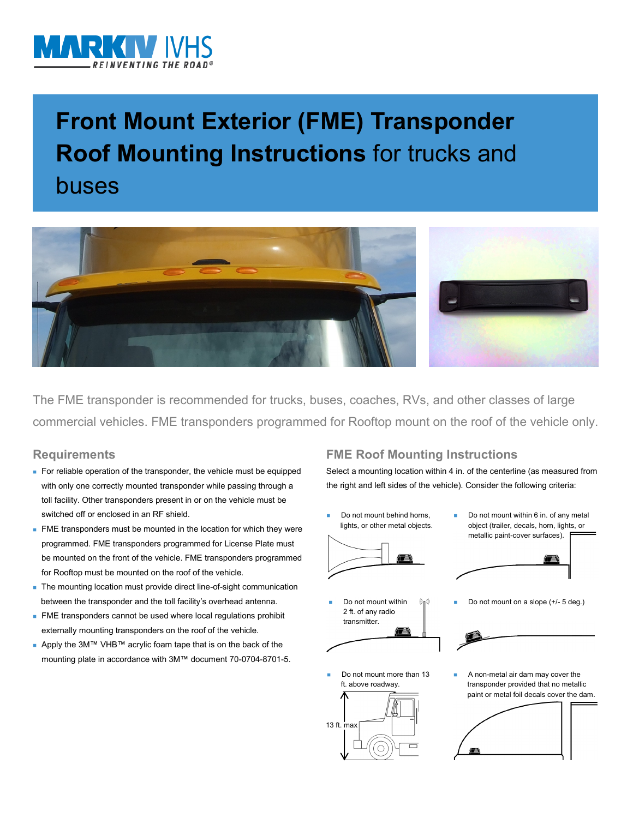

# **Front Mount Exterior (FME) Transponder Roof Mounting Instructions** for trucks and buses



The FME transponder is recommended for trucks, buses, coaches, RVs, and other classes of large commercial vehicles. FME transponders programmed for Rooftop mount on the roof of the vehicle only.

### **Requirements**

- For reliable operation of the transponder, the vehicle must be equipped with only one correctly mounted transponder while passing through a toll facility. Other transponders present in or on the vehicle must be switched off or enclosed in an RF shield.
- FME transponders must be mounted in the location for which they were programmed. FME transponders programmed for License Plate must be mounted on the front of the vehicle. FME transponders programmed for Rooftop must be mounted on the roof of the vehicle.
- The mounting location must provide direct line-of-sight communication between the transponder and the toll facility's overhead antenna.
- **FME** transponders cannot be used where local regulations prohibit externally mounting transponders on the roof of the vehicle.
- Apply the 3M™ VHB™ acrylic foam tape that is on the back of the mounting plate in accordance with 3M™ document 70-0704-8701-5.

## **FME Roof Mounting Instructions**

Select a mounting location within 4 in. of the centerline (as measured from the right and left sides of the vehicle). Consider the following criteria:

- Do not mount behind horns, lights, or other metal objects.
- Do not mount within 2 ft. of any radio transmitter.
- Do not mount more than 13 ft. above roadway.



 Do not mount within 6 in. of any metal object (trailer, decals, horn, lights, or metallic paint-cover surfaces).



Do not mount on a slope (+/- 5 deg.)



 A non-metal air dam may cover the transponder provided that no metallic paint or metal foil decals cover the dam.